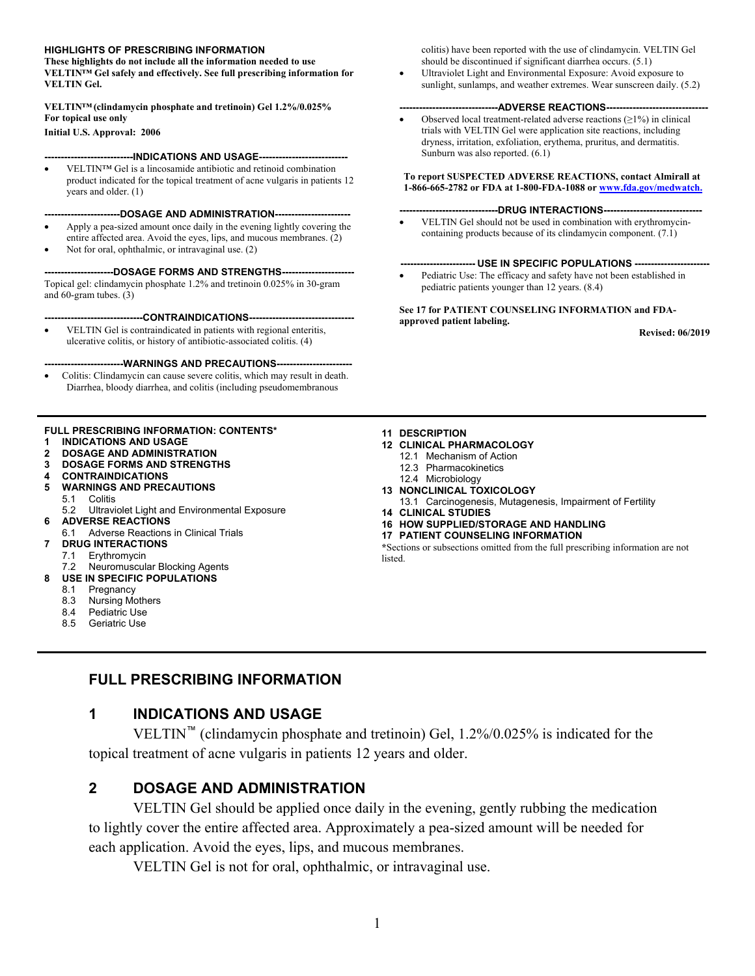#### **HIGHLIGHTS OF PRESCRIBING INFORMATION**

**These highlights do not include all the information needed to use VELTIN™ Gel safely and effectively. See full prescribing information for VELTIN Gel.** 

**VELTIN™ (clindamycin phosphate and tretinoin) Gel 1.2%/0.025% For topical use only** 

 **Initial U.S. Approval: 2006** 

#### **---------------------------INDICATIONS AND USAGE---------------------------**

 years and older. (1) VELTIN™ Gel is a lincosamide antibiotic and retinoid combination product indicated for the topical treatment of acne vulgaris in patients 12

 **-----------------------DOSAGE AND ADMINISTRATION-----------------------**

- Apply a pea-sized amount once daily in the evening lightly covering the entire affected area. Avoid the eyes, lips, and mucous membranes. (2)
- Not for oral, ophthalmic, or intravaginal use. (2)

#### -DOSAGE FORMS AND STRENGTHS----

 Topical gel: clindamycin phosphate 1.2% and tretinoin 0.025% in 30-gram and 60-gram tubes. (3)

**------------------------------CONTRAINDICATIONS--------------------------------**

 VELTIN Gel is contraindicated in patients with regional enteritis, ulcerative colitis, or history of antibiotic-associated colitis. (4)

#### ----WARNINGS AND PRECAUTIONS---

 Colitis: Clindamycin can cause severe colitis, which may result in death. Diarrhea, bloody diarrhea, and colitis (including pseudomembranous

### **FULL PRESCRIBING INFORMATION: CONTENTS\***

- **1 INDICATIONS AND USAGE**
- **2 DOSAGE AND ADMINISTRATION**
- **3 DOSAGE FORMS AND STRENGTHS**
- **4 CONTRAINDICATIONS**
- **5 WARNINGS AND PRECAUTIONS**  5.1 Colitis
- 5.2 Ultraviolet Light and Environmental Exposure **6 ADVERSE REACTIONS**
- 6.1 Adverse Reactions in Clinical Trials
- **7 DRUG INTERACTIONS** 
	- 7.1 Erythromycin
- 7.2 Neuromuscular Blocking Agents
- **8 USE IN SPECIFIC POPULATIONS** 
	- 8.1 Pregnancy
	- 8.3 Nursing Mothers
	- 8.4 Pediatric Use<br>8.5 Geriatric Use
	- Geriatric Use

colitis) have been reported with the use of clindamycin. VELTIN Gel should be discontinued if significant diarrhea occurs. (5.1)

 sunlight, sunlamps, and weather extremes. Wear sunscreen daily. (5.2) Ultraviolet Light and Environmental Exposure: Avoid exposure to

#### ----ADVERSE REACTIONS------

Observed local treatment-related adverse reactions  $(≥1%)$  in clinical trials with VELTIN Gel were application site reactions, including dryness, irritation, exfoliation, erythema, pruritus, and dermatitis. Sunburn was also reported. (6.1)

 **1-866-665-2782 or FDA at 1-800-FDA-1088 or www.fda.gov/medwatch. To report SUSPECTED ADVERSE REACTIONS, contact Almirall at** 

#### **---DRUG INTERACTIONS---**

 VELTIN Gel should not be used in combination with erythromycincontaining products because of its clindamycin component. (7.1)

#### **----------------------- USE IN SPECIFIC POPULATIONS -----------------------**

 Pediatric Use: The efficacy and safety have not been established in pediatric patients younger than 12 years. (8.4)

**See 17 for PATIENT COUNSELING INFORMATION and FDAapproved patient labeling.** 

 **Revised: 06/2019** 

#### **11 DESCRIPTION**

- **12 CLINICAL PHARMACOLOGY** 
	- 12.1 Mechanism of Action
		- 12.3 Pharmacokinetics
		- 12.4 Microbiology
- **13 NONCLINICAL TOXICOLOGY**
- 13.1 Carcinogenesis, Mutagenesis, Impairment of Fertility
- **14 CLINICAL STUDIES**
- **16 HOW SUPPLIED/STORAGE AND HANDLING**

#### **17 PATIENT COUNSELING INFORMATION**

**\***Sections or subsections omitted from the full prescribing information are not listed.

# **FULL PRESCRIBING INFORMATION**

### **1 INDICATIONS AND USAGE**

VELTIN™ (clindamycin phosphate and tretinoin) Gel, 1.2%/0.025% is indicated for the topical treatment of acne vulgaris in patients 12 years and older.

# **2 DOSAGE AND ADMINISTRATION**

VELTIN Gel should be applied once daily in the evening, gently rubbing the medication to lightly cover the entire affected area. Approximately a pea-sized amount will be needed for each application. Avoid the eyes, lips, and mucous membranes.

VELTIN Gel is not for oral, ophthalmic, or intravaginal use.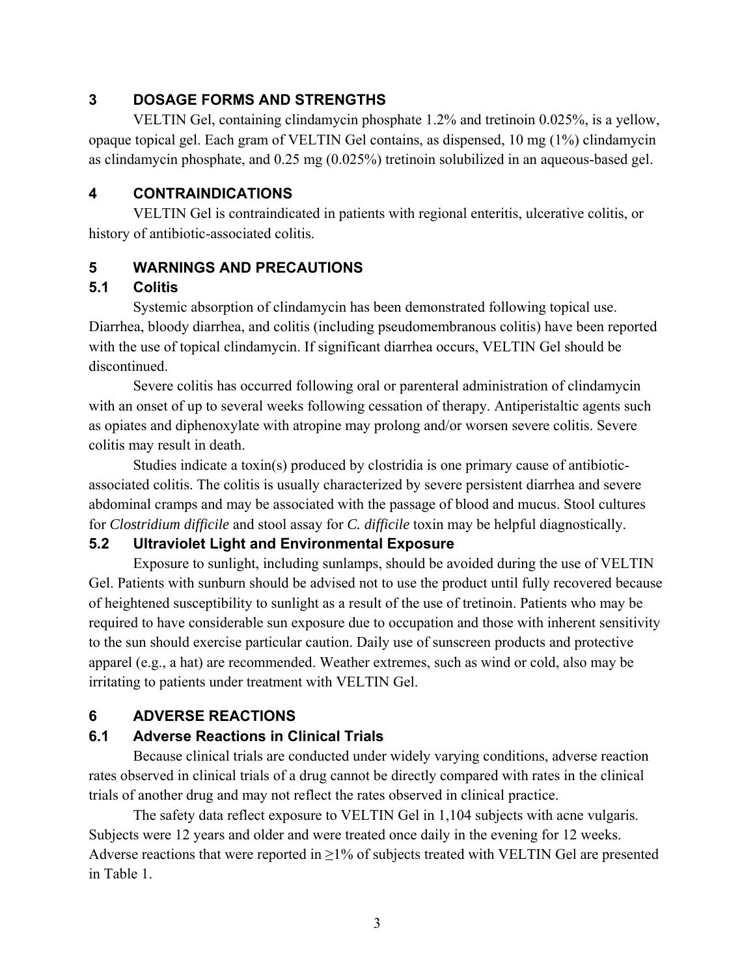# **3 DOSAGE FORMS AND STRENGTHS**

VELTIN Gel, containing clindamycin phosphate 1.2% and tretinoin 0.025%, is a yellow, opaque topical gel. Each gram of VELTIN Gel contains, as dispensed, 10 mg (1%) clindamycin as clindamycin phosphate, and 0.25 mg (0.025%) tretinoin solubilized in an aqueous-based gel.

# **4 CONTRAINDICATIONS**

VELTIN Gel is contraindicated in patients with regional enteritis, ulcerative colitis, or history of antibiotic-associated colitis.

# **5 WARNINGS AND PRECAUTIONS**

## **5.1 Colitis**

Systemic absorption of clindamycin has been demonstrated following topical use. Diarrhea, bloody diarrhea, and colitis (including pseudomembranous colitis) have been reported with the use of topical clindamycin. If significant diarrhea occurs, VELTIN Gel should be discontinued.

Severe colitis has occurred following oral or parenteral administration of clindamycin with an onset of up to several weeks following cessation of therapy. Antiperistaltic agents such as opiates and diphenoxylate with atropine may prolong and/or worsen severe colitis. Severe colitis may result in death.

Studies indicate a toxin(s) produced by clostridia is one primary cause of antibioticassociated colitis. The colitis is usually characterized by severe persistent diarrhea and severe abdominal cramps and may be associated with the passage of blood and mucus. Stool cultures for *Clostridium difficile* and stool assay for *C. difficile* toxin may be helpful diagnostically.

### **5.2 Ultraviolet Light and Environmental Exposure**

Exposure to sunlight, including sunlamps, should be avoided during the use of VELTIN Gel. Patients with sunburn should be advised not to use the product until fully recovered because of heightened susceptibility to sunlight as a result of the use of tretinoin. Patients who may be required to have considerable sun exposure due to occupation and those with inherent sensitivity to the sun should exercise particular caution. Daily use of sunscreen products and protective apparel (e.g., a hat) are recommended. Weather extremes, such as wind or cold, also may be irritating to patients under treatment with VELTIN Gel.

# **6 ADVERSE REACTIONS**

### **6.1 Adverse Reactions in Clinical Trials**

Because clinical trials are conducted under widely varying conditions, adverse reaction rates observed in clinical trials of a drug cannot be directly compared with rates in the clinical trials of another drug and may not reflect the rates observed in clinical practice.

The safety data reflect exposure to VELTIN Gel in 1,104 subjects with acne vulgaris. Subjects were 12 years and older and were treated once daily in the evening for 12 weeks. Adverse reactions that were reported in  $\geq$ 1% of subjects treated with VELTIN Gel are presented in Table 1.

3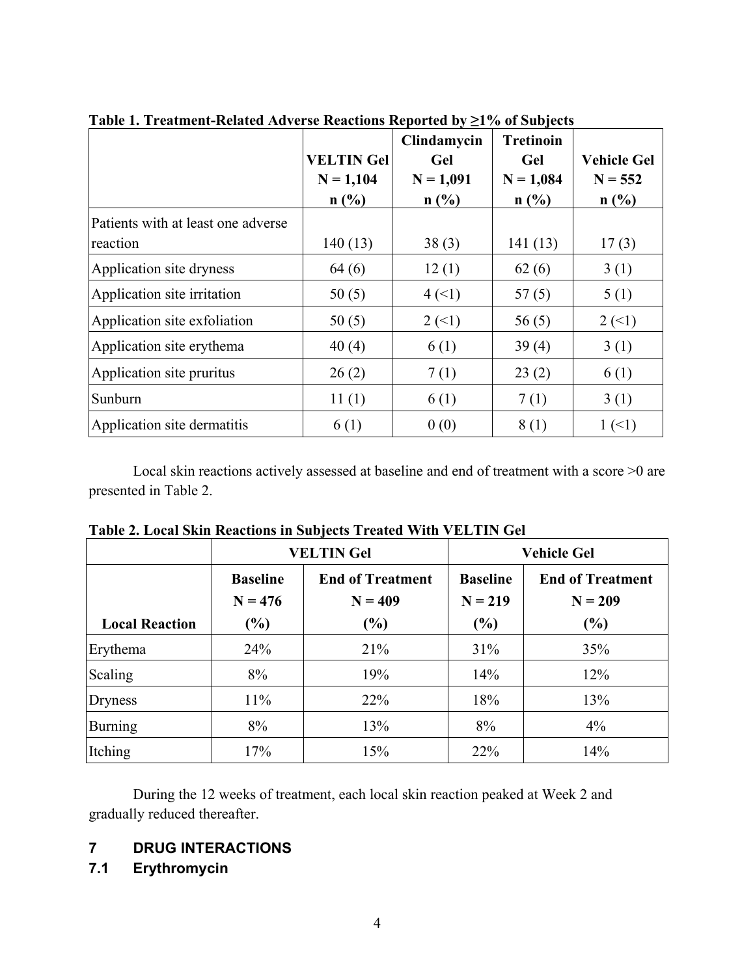|                                    |                   | Clindamycin | <b>Tretinoin</b> |                    |
|------------------------------------|-------------------|-------------|------------------|--------------------|
|                                    | <b>VELTIN Gel</b> | Gel         | Gel              | <b>Vehicle Gel</b> |
|                                    | $N = 1,104$       | $N = 1,091$ | $N = 1,084$      | $N = 552$          |
|                                    | $n$ (%)           | $n$ (%)     | n(%)             | $n$ (%)            |
| Patients with at least one adverse |                   |             |                  |                    |
| reaction                           | 140(13)           | 38(3)       | 141(13)          | 17(3)              |
| Application site dryness           | 64(6)             | 12(1)       | 62(6)            | 3(1)               |
| Application site irritation        | 50(5)             | 4(1)        | 57(5)            | 5(1)               |
| Application site exfoliation       | 50(5)             | 2(1)        | 56(5)            | 2(1)               |
| Application site erythema          | 40(4)             | 6(1)        | 39(4)            | 3(1)               |
| Application site pruritus          | 26(2)             | 7(1)        | 23(2)            | 6(1)               |
| Sunburn                            | 11(1)             | 6(1)        | 7(1)             | 3(1)               |
| Application site dermatitis        | 6(1)              | 0(0)        | 8(1)             | 1(1)               |

**Table 1. Treatment-Related Adverse Reactions Reported by ≥1% of Subjects** 

Local skin reactions actively assessed at baseline and end of treatment with a score >0 are presented in Table 2.

|                       |                 | <b>VELTIN Gel</b>       | <b>Vehicle Gel</b> |                         |  |
|-----------------------|-----------------|-------------------------|--------------------|-------------------------|--|
|                       | <b>Baseline</b> | <b>End of Treatment</b> | <b>Baseline</b>    | <b>End of Treatment</b> |  |
|                       | $N = 476$       | $N = 409$               | $N = 219$          | $N = 209$               |  |
| <b>Local Reaction</b> | $(\%)$          | $(\%)$                  | $(\%)$             | (%)                     |  |
| Erythema              | 24%             | 21%                     | 31%                | 35%                     |  |
| Scaling               | 8%              | 19%                     | 14%                | 12%                     |  |
| <b>Dryness</b>        | $11\%$          | 22%                     | 18%                | 13%                     |  |
| Burning               | 8%              | 13%                     | 8%                 | 4%                      |  |
| Itching               | 17%             | 15%                     | 22%                | 14%                     |  |

**Table 2. Local Skin Reactions in Subjects Treated With VELTIN Gel** 

During the 12 weeks of treatment, each local skin reaction peaked at Week 2 and gradually reduced thereafter.

# **7 DRUG INTERACTIONS**

# **7.1 Erythromycin**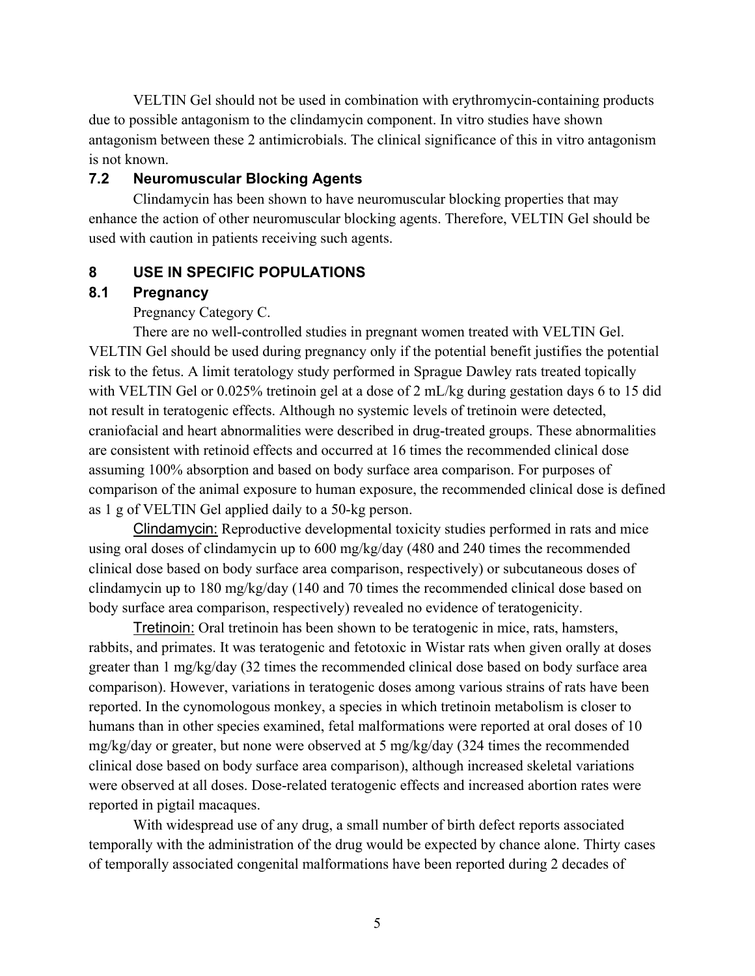VELTIN Gel should not be used in combination with erythromycin-containing products due to possible antagonism to the clindamycin component. In vitro studies have shown antagonism between these 2 antimicrobials. The clinical significance of this in vitro antagonism is not known.

### **7.2 Neuromuscular Blocking Agents**

Clindamycin has been shown to have neuromuscular blocking properties that may enhance the action of other neuromuscular blocking agents. Therefore, VELTIN Gel should be used with caution in patients receiving such agents.

## **8 USE IN SPECIFIC POPULATIONS**

# **8.1 Pregnancy**

Pregnancy Category C.

There are no well-controlled studies in pregnant women treated with VELTIN Gel. VELTIN Gel should be used during pregnancy only if the potential benefit justifies the potential risk to the fetus. A limit teratology study performed in Sprague Dawley rats treated topically with VELTIN Gel or 0.025% tretinoin gel at a dose of 2 mL/kg during gestation days 6 to 15 did not result in teratogenic effects. Although no systemic levels of tretinoin were detected, craniofacial and heart abnormalities were described in drug-treated groups. These abnormalities are consistent with retinoid effects and occurred at 16 times the recommended clinical dose assuming 100% absorption and based on body surface area comparison. For purposes of comparison of the animal exposure to human exposure, the recommended clinical dose is defined as 1 g of VELTIN Gel applied daily to a 50-kg person.

Clindamycin: Reproductive developmental toxicity studies performed in rats and mice using oral doses of clindamycin up to 600 mg/kg/day (480 and 240 times the recommended clinical dose based on body surface area comparison, respectively) or subcutaneous doses of clindamycin up to 180 mg/kg/day (140 and 70 times the recommended clinical dose based on body surface area comparison, respectively) revealed no evidence of teratogenicity.

Tretinoin: Oral tretinoin has been shown to be teratogenic in mice, rats, hamsters, rabbits, and primates. It was teratogenic and fetotoxic in Wistar rats when given orally at doses greater than 1 mg/kg/day (32 times the recommended clinical dose based on body surface area comparison). However, variations in teratogenic doses among various strains of rats have been reported. In the cynomologous monkey, a species in which tretinoin metabolism is closer to humans than in other species examined, fetal malformations were reported at oral doses of 10 mg/kg/day or greater, but none were observed at 5 mg/kg/day (324 times the recommended clinical dose based on body surface area comparison), although increased skeletal variations were observed at all doses. Dose-related teratogenic effects and increased abortion rates were reported in pigtail macaques.

With widespread use of any drug, a small number of birth defect reports associated temporally with the administration of the drug would be expected by chance alone. Thirty cases of temporally associated congenital malformations have been reported during 2 decades of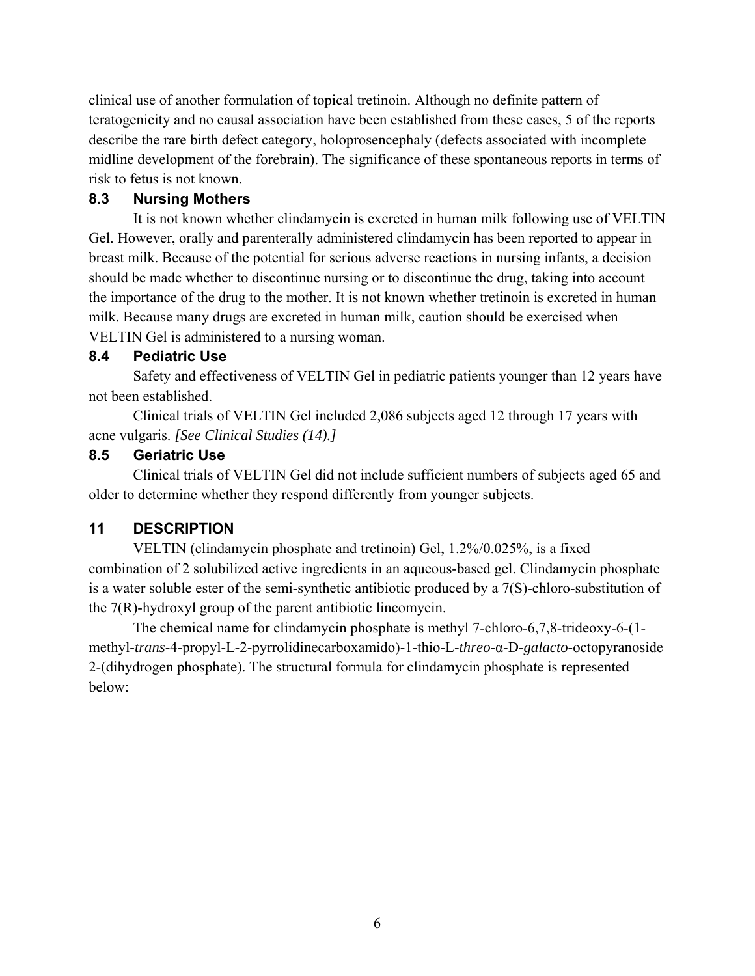clinical use of another formulation of topical tretinoin. Although no definite pattern of teratogenicity and no causal association have been established from these cases, 5 of the reports describe the rare birth defect category, holoprosencephaly (defects associated with incomplete midline development of the forebrain). The significance of these spontaneous reports in terms of risk to fetus is not known.

## **8.3 Nursing Mothers**

It is not known whether clindamycin is excreted in human milk following use of VELTIN Gel. However, orally and parenterally administered clindamycin has been reported to appear in breast milk. Because of the potential for serious adverse reactions in nursing infants, a decision should be made whether to discontinue nursing or to discontinue the drug, taking into account the importance of the drug to the mother. It is not known whether tretinoin is excreted in human milk. Because many drugs are excreted in human milk, caution should be exercised when VELTIN Gel is administered to a nursing woman.

# **8.4 Pediatric Use**

Safety and effectiveness of VELTIN Gel in pediatric patients younger than 12 years have not been established.

Clinical trials of VELTIN Gel included 2,086 subjects aged 12 through 17 years with acne vulgaris. *[See Clinical Studies (14).]* 

### **8.5 Geriatric Use**

Clinical trials of VELTIN Gel did not include sufficient numbers of subjects aged 65 and older to determine whether they respond differently from younger subjects.

## **11 DESCRIPTION**

VELTIN (clindamycin phosphate and tretinoin) Gel, 1.2%/0.025%, is a fixed combination of 2 solubilized active ingredients in an aqueous-based gel. Clindamycin phosphate is a water soluble ester of the semi-synthetic antibiotic produced by a 7(S)-chloro-substitution of the 7(R)-hydroxyl group of the parent antibiotic lincomycin.

The chemical name for clindamycin phosphate is methyl 7-chloro-6,7,8-trideoxy-6-(1 methyl-*trans*-4-propyl-L-2-pyrrolidinecarboxamido)-1-thio-L-*threo*-α-D-*galacto*-octopyranoside 2-(dihydrogen phosphate). The structural formula for clindamycin phosphate is represented below: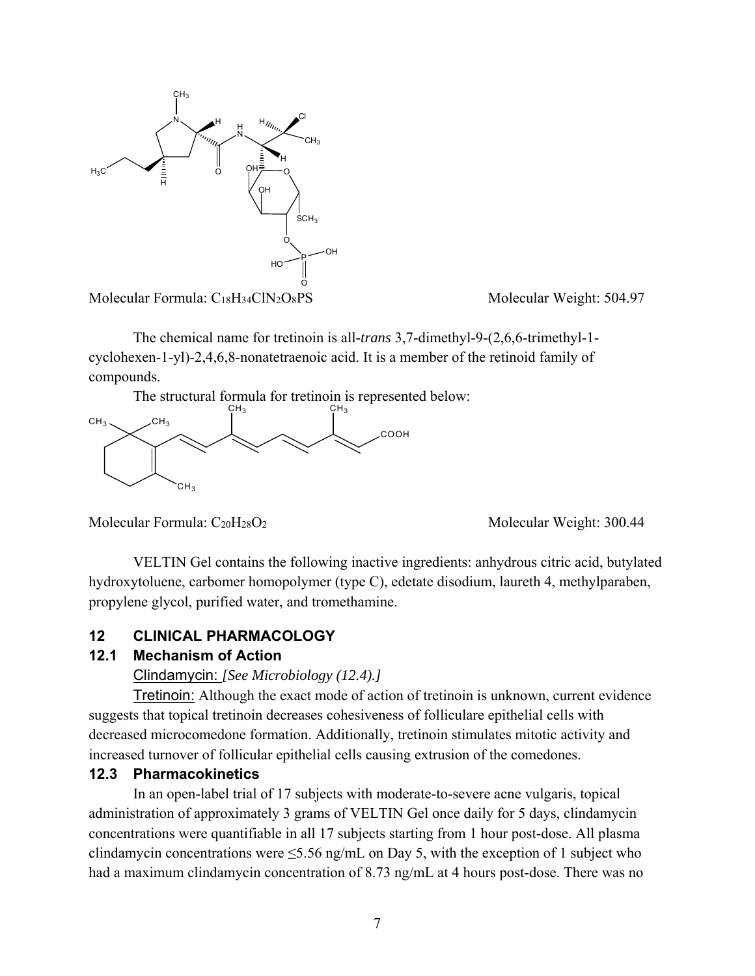

Molecular Formula: C<sub>18</sub>H<sub>34</sub>ClN<sub>2</sub>O<sub>8</sub>PS Molecular Weight: 504.97

The chemical name for tretinoin is all-*trans* 3,7-dimethyl-9-(2,6,6-trimethyl-1 cyclohexen-1-yl)-2,4,6,8-nonatetraenoic acid. It is a member of the retinoid family of compounds.

The structural formula for tretinoin is represented below:<br> $C_{H_3}$ 



Molecular Formula: C<sub>20</sub>H<sub>28</sub>O<sub>2</sub> Molecular Weight: 300.44

VELTIN Gel contains the following inactive ingredients: anhydrous citric acid, butylated hydroxytoluene, carbomer homopolymer (type C), edetate disodium, laureth 4, methylparaben, propylene glycol, purified water, and tromethamine.

# **12 CLINICAL PHARMACOLOGY**

### **12.1 Mechanism of Action**

### Clindamycin: *[See Microbiology (12.4).]*

Tretinoin: Although the exact mode of action of tretinoin is unknown, current evidence suggests that topical tretinoin decreases cohesiveness of folliculare epithelial cells with decreased microcomedone formation. Additionally, tretinoin stimulates mitotic activity and increased turnover of follicular epithelial cells causing extrusion of the comedones.

### **12.3 Pharmacokinetics**

In an open-label trial of 17 subjects with moderate-to-severe acne vulgaris, topical administration of approximately 3 grams of VELTIN Gel once daily for 5 days, clindamycin concentrations were quantifiable in all 17 subjects starting from 1 hour post-dose. All plasma clindamycin concentrations were  $\leq$ 5.56 ng/mL on Day 5, with the exception of 1 subject who had a maximum clindamycin concentration of 8.73 ng/mL at 4 hours post-dose. There was no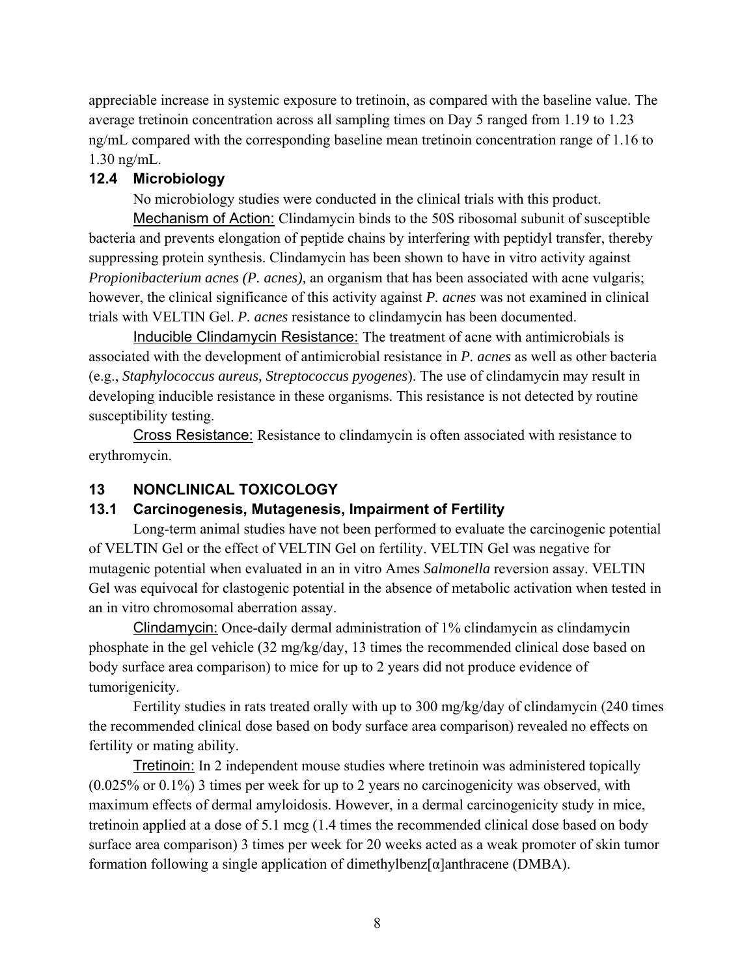appreciable increase in systemic exposure to tretinoin, as compared with the baseline value. The average tretinoin concentration across all sampling times on Day 5 ranged from 1.19 to 1.23 ng/mL compared with the corresponding baseline mean tretinoin concentration range of 1.16 to 1.30 ng/mL.

#### **12.4 Microbiology**

No microbiology studies were conducted in the clinical trials with this product.

Mechanism of Action: Clindamycin binds to the 50S ribosomal subunit of susceptible bacteria and prevents elongation of peptide chains by interfering with peptidyl transfer, thereby suppressing protein synthesis. Clindamycin has been shown to have in vitro activity against *Propionibacterium acnes (P. acnes),* an organism that has been associated with acne vulgaris; however, the clinical significance of this activity against *P. acnes* was not examined in clinical trials with VELTIN Gel. *P. acnes* resistance to clindamycin has been documented.

Inducible Clindamycin Resistance: The treatment of acne with antimicrobials is associated with the development of antimicrobial resistance in *P. acnes* as well as other bacteria (e.g., *Staphylococcus aureus, Streptococcus pyogenes*). The use of clindamycin may result in developing inducible resistance in these organisms. This resistance is not detected by routine susceptibility testing.

Cross Resistance: Resistance to clindamycin is often associated with resistance to erythromycin.

#### **13 NONCLINICAL TOXICOLOGY**

#### **13.1 Carcinogenesis, Mutagenesis, Impairment of Fertility**

Long-term animal studies have not been performed to evaluate the carcinogenic potential of VELTIN Gel or the effect of VELTIN Gel on fertility. VELTIN Gel was negative for mutagenic potential when evaluated in an in vitro Ames *Salmonella* reversion assay. VELTIN Gel was equivocal for clastogenic potential in the absence of metabolic activation when tested in an in vitro chromosomal aberration assay.

Clindamycin: Once-daily dermal administration of 1% clindamycin as clindamycin phosphate in the gel vehicle (32 mg/kg/day, 13 times the recommended clinical dose based on body surface area comparison) to mice for up to 2 years did not produce evidence of tumorigenicity.

Fertility studies in rats treated orally with up to 300 mg/kg/day of clindamycin (240 times the recommended clinical dose based on body surface area comparison) revealed no effects on fertility or mating ability.

Tretinoin: In 2 independent mouse studies where tretinoin was administered topically (0.025% or 0.1%) 3 times per week for up to 2 years no carcinogenicity was observed, with maximum effects of dermal amyloidosis. However, in a dermal carcinogenicity study in mice, tretinoin applied at a dose of 5.1 mcg (1.4 times the recommended clinical dose based on body surface area comparison) 3 times per week for 20 weeks acted as a weak promoter of skin tumor formation following a single application of dimethylbenz $\lceil \alpha \rceil$ anthracene (DMBA).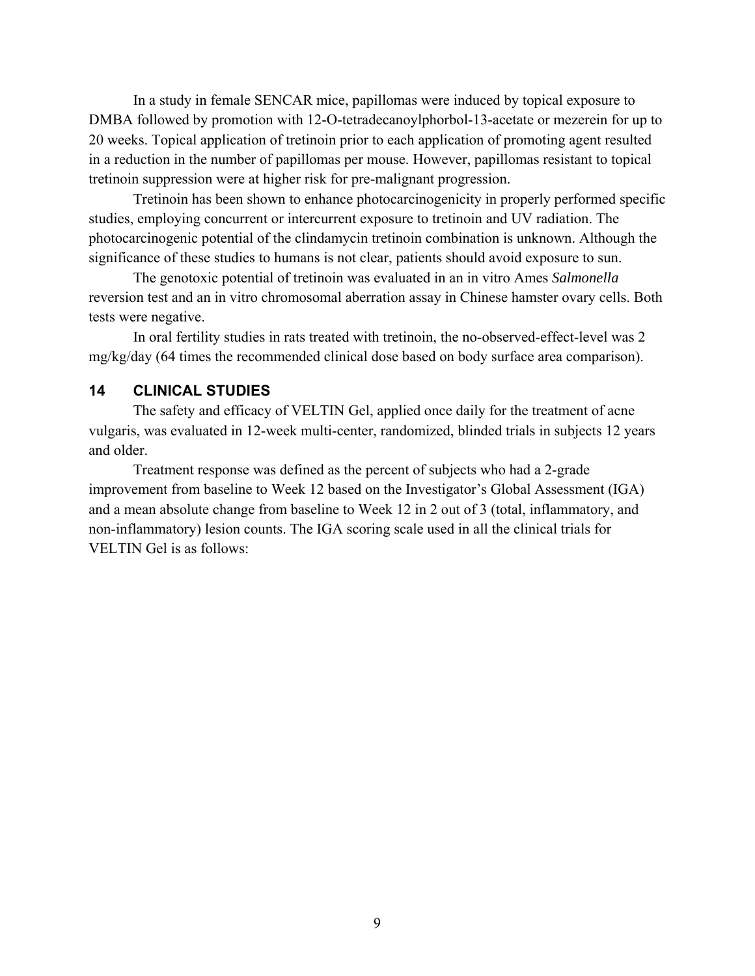In a study in female SENCAR mice, papillomas were induced by topical exposure to DMBA followed by promotion with 12-O-tetradecanoylphorbol-13-acetate or mezerein for up to 20 weeks. Topical application of tretinoin prior to each application of promoting agent resulted in a reduction in the number of papillomas per mouse. However, papillomas resistant to topical tretinoin suppression were at higher risk for pre-malignant progression.

Tretinoin has been shown to enhance photocarcinogenicity in properly performed specific studies, employing concurrent or intercurrent exposure to tretinoin and UV radiation. The photocarcinogenic potential of the clindamycin tretinoin combination is unknown. Although the significance of these studies to humans is not clear, patients should avoid exposure to sun.

The genotoxic potential of tretinoin was evaluated in an in vitro Ames *Salmonella*  reversion test and an in vitro chromosomal aberration assay in Chinese hamster ovary cells. Both tests were negative.

In oral fertility studies in rats treated with tretinoin, the no-observed-effect-level was 2 mg/kg/day (64 times the recommended clinical dose based on body surface area comparison).

#### **14 CLINICAL STUDIES**

The safety and efficacy of VELTIN Gel, applied once daily for the treatment of acne vulgaris, was evaluated in 12-week multi-center, randomized, blinded trials in subjects 12 years and older.

Treatment response was defined as the percent of subjects who had a 2-grade improvement from baseline to Week 12 based on the Investigator's Global Assessment (IGA) and a mean absolute change from baseline to Week 12 in 2 out of 3 (total, inflammatory, and non-inflammatory) lesion counts. The IGA scoring scale used in all the clinical trials for VELTIN Gel is as follows: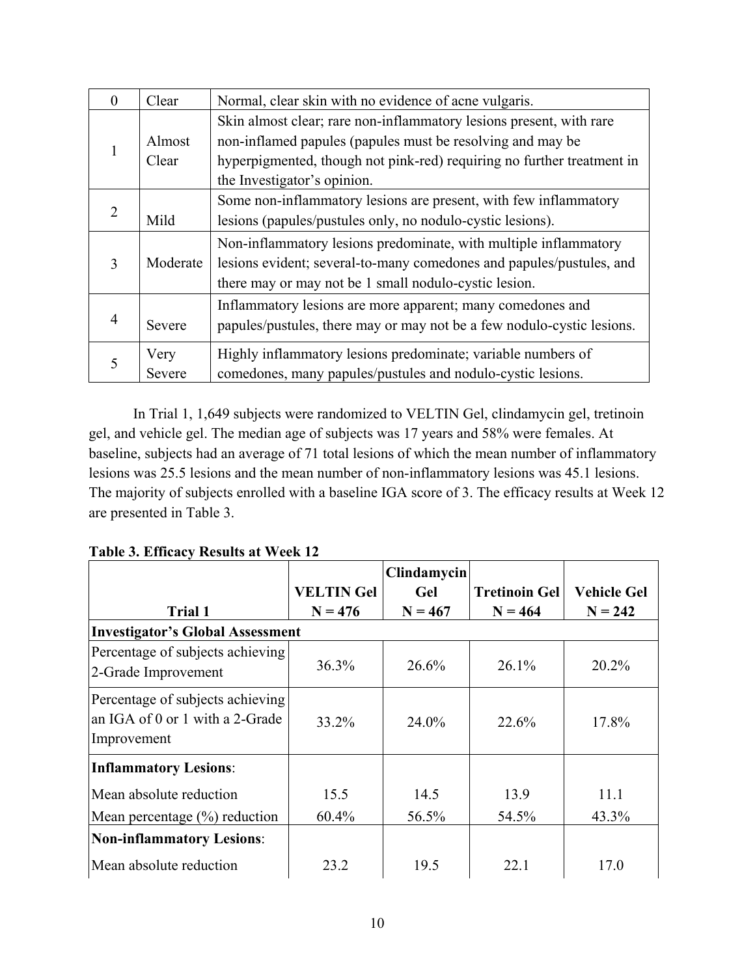| 0             | Clear           | Normal, clear skin with no evidence of acne vulgaris.                                                                                                                                                                                      |
|---------------|-----------------|--------------------------------------------------------------------------------------------------------------------------------------------------------------------------------------------------------------------------------------------|
|               | Almost<br>Clear | Skin almost clear; rare non-inflammatory lesions present, with rare<br>non-inflamed papules (papules must be resolving and may be<br>hyperpigmented, though not pink-red) requiring no further treatment in<br>the Investigator's opinion. |
| $\mathcal{D}$ | Mild            | Some non-inflammatory lesions are present, with few inflammatory<br>lesions (papules/pustules only, no nodulo-cystic lesions).                                                                                                             |
| 3             | Moderate        | Non-inflammatory lesions predominate, with multiple inflammatory<br>lesions evident; several-to-many comedones and papules/pustules, and<br>there may or may not be 1 small nodulo-cystic lesion.                                          |
| 4             | Severe          | Inflammatory lesions are more apparent; many comedones and<br>papules/pustules, there may or may not be a few nodulo-cystic lesions.                                                                                                       |
| 5             | Very<br>Severe  | Highly inflammatory lesions predominate; variable numbers of<br>comedones, many papules/pustules and nodulo-cystic lesions.                                                                                                                |

In Trial 1, 1,649 subjects were randomized to VELTIN Gel, clindamycin gel, tretinoin gel, and vehicle gel. The median age of subjects was 17 years and 58% were females. At baseline, subjects had an average of 71 total lesions of which the mean number of inflammatory lesions was 25.5 lesions and the mean number of non-inflammatory lesions was 45.1 lesions. The majority of subjects enrolled with a baseline IGA score of 3. The efficacy results at Week 12 are presented in Table 3.

|                                                                                    |                   | Clindamycin |                      |                    |  |
|------------------------------------------------------------------------------------|-------------------|-------------|----------------------|--------------------|--|
|                                                                                    | <b>VELTIN Gel</b> | Gel         | <b>Tretinoin Gel</b> | <b>Vehicle Gel</b> |  |
| <b>Trial 1</b>                                                                     | $N = 476$         | $N = 467$   | $N = 464$            | $N = 242$          |  |
| <b>Investigator's Global Assessment</b>                                            |                   |             |                      |                    |  |
| Percentage of subjects achieving<br>2-Grade Improvement                            | 36.3%             | 26.6%       | 26.1%                | 20.2%              |  |
| Percentage of subjects achieving<br>an IGA of 0 or 1 with a 2-Grade<br>Improvement | 33.2%             | 24.0%       | 22.6%                | 17.8%              |  |
| <b>Inflammatory Lesions:</b>                                                       |                   |             |                      |                    |  |
| Mean absolute reduction                                                            | 15.5              | 14.5        | 13.9                 | 11.1               |  |
| Mean percentage $(\%)$ reduction                                                   | 60.4%             | 56.5%       | 54.5%                | 43.3%              |  |
| <b>Non-inflammatory Lesions:</b>                                                   |                   |             |                      |                    |  |
| Mean absolute reduction                                                            | 23.2              | 19.5        | 22.1                 | 17.0               |  |

**Table 3. Efficacy Results at Week 12**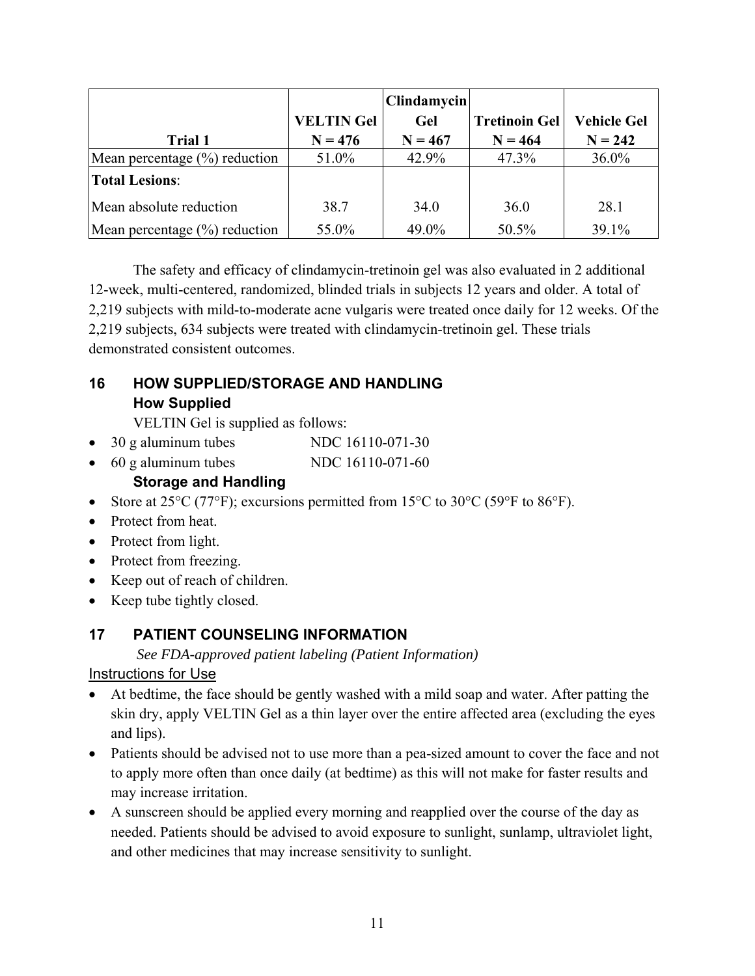|                                   |                   | <b>Clindamycin</b> |                      |                    |
|-----------------------------------|-------------------|--------------------|----------------------|--------------------|
|                                   | <b>VELTIN Gel</b> | Gel                | <b>Tretinoin Gel</b> | <b>Vehicle Gel</b> |
| <b>Trial 1</b>                    | $N = 476$         | $N = 467$          | $N = 464$            | $N = 242$          |
| Mean percentage $(\% )$ reduction | 51.0%             | 42.9%              | 47.3%                | 36.0%              |
| <b>Total Lesions:</b>             |                   |                    |                      |                    |
| Mean absolute reduction           | 38.7              | 34.0               | 36.0                 | 28.1               |
| Mean percentage $(\% )$ reduction | 55.0%             | 49.0%              | 50.5%                | 39.1%              |

The safety and efficacy of clindamycin-tretinoin gel was also evaluated in 2 additional 12-week, multi-centered, randomized, blinded trials in subjects 12 years and older. A total of 2,219 subjects with mild-to-moderate acne vulgaris were treated once daily for 12 weeks. Of the 2,219 subjects, 634 subjects were treated with clindamycin-tretinoin gel. These trials demonstrated consistent outcomes.

# **16 HOW SUPPLIED/STORAGE AND HANDLING**

# **How Supplied**

VELTIN Gel is supplied as follows:

- 30 g aluminum tubes NDC 16110-071-30
- 60 g aluminum tubes NDC 16110-071-60
	- **Storage and Handling**
- Store at  $25^{\circ}$ C (77°F); excursions permitted from 15°C to 30°C (59°F to 86°F).
- Protect from heat.
- Protect from light.
- Protect from freezing.
- Keep out of reach of children.
- Keep tube tightly closed.

# **17 PATIENT COUNSELING INFORMATION**

# *See FDA-approved patient labeling (Patient Information)*

# Instructions for Use

- At bedtime, the face should be gently washed with a mild soap and water. After patting the skin dry, apply VELTIN Gel as a thin layer over the entire affected area (excluding the eyes and lips).
- Patients should be advised not to use more than a pea-sized amount to cover the face and not to apply more often than once daily (at bedtime) as this will not make for faster results and may increase irritation.
- A sunscreen should be applied every morning and reapplied over the course of the day as needed. Patients should be advised to avoid exposure to sunlight, sunlamp, ultraviolet light, and other medicines that may increase sensitivity to sunlight.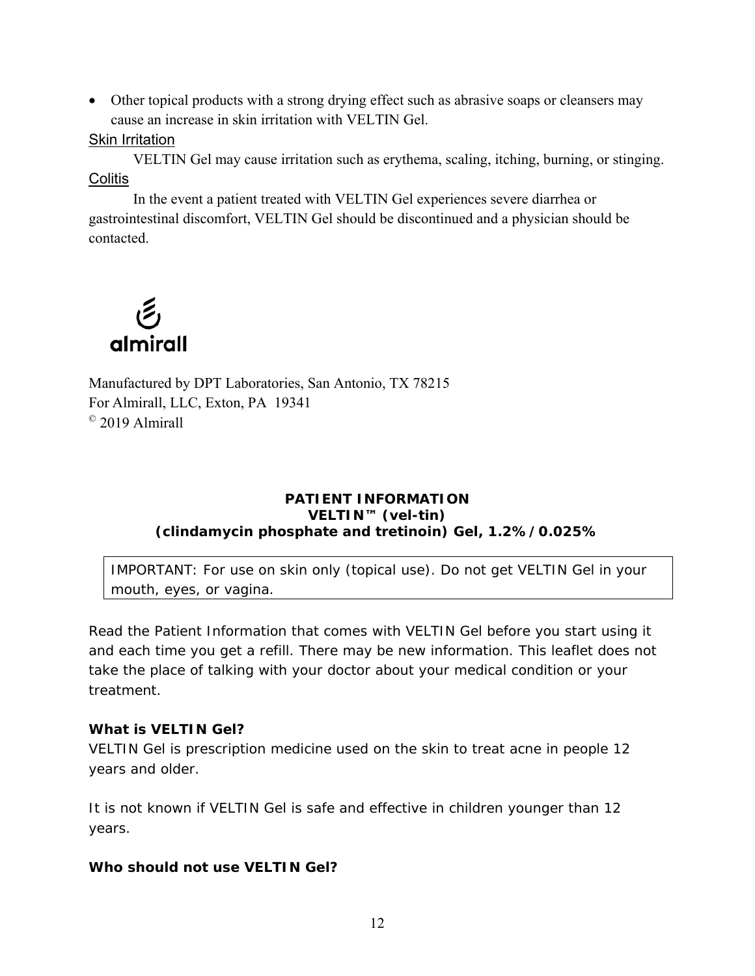Other topical products with a strong drying effect such as abrasive soaps or cleansers may cause an increase in skin irritation with VELTIN Gel.

# Skin Irritation

VELTIN Gel may cause irritation such as erythema, scaling, itching, burning, or stinging. **Colitis** 

In the event a patient treated with VELTIN Gel experiences severe diarrhea or gastrointestinal discomfort, VELTIN Gel should be discontinued and a physician should be contacted.



Manufactured by DPT Laboratories, San Antonio, TX 78215 For Almirall, LLC, Exton, PA 19341  $^{\circ}$  2019 Almirall

# **PATIENT INFORMATION VELTIN™ (vel-tin) (clindamycin phosphate and tretinoin) Gel, 1.2%/0.025%**

IMPORTANT: For use on skin only (topical use). Do not get VELTIN Gel in your mouth, eyes, or vagina.

Read the Patient Information that comes with VELTIN Gel before you start using it and each time you get a refill. There may be new information. This leaflet does not take the place of talking with your doctor about your medical condition or your treatment.

# **What is VELTIN Gel?**

VELTIN Gel is prescription medicine used on the skin to treat acne in people 12 years and older.

It is not known if VELTIN Gel is safe and effective in children younger than 12 years.

# **Who should not use VELTIN Gel?**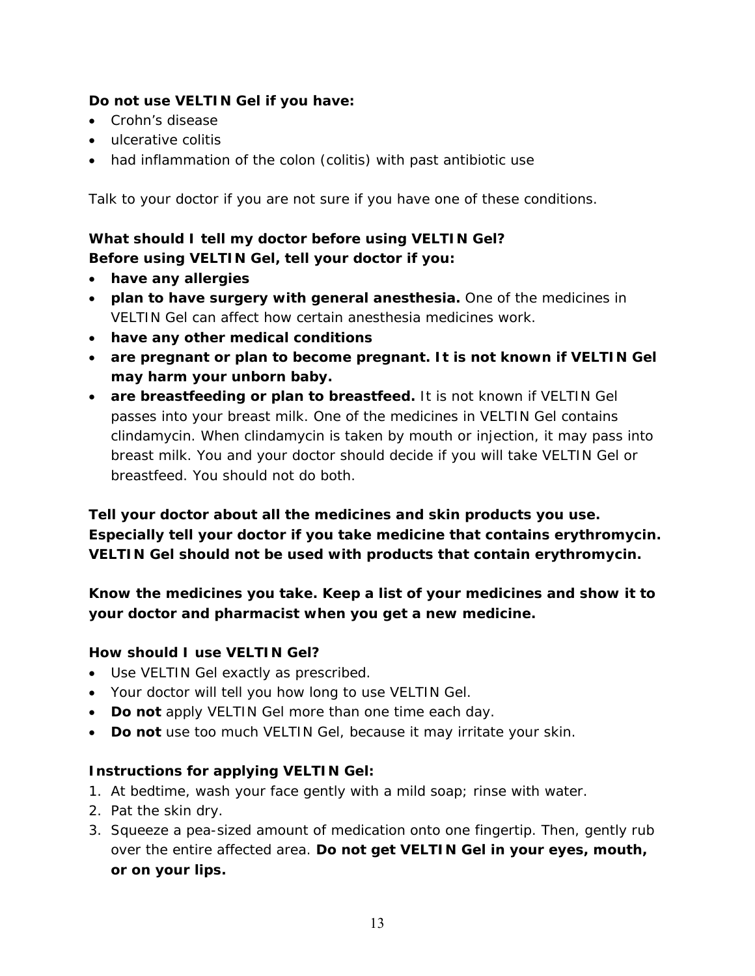# **Do not use VELTIN Gel if you have:**

- Crohn's disease
- ulcerative colitis
- had inflammation of the colon (colitis) with past antibiotic use

Talk to your doctor if you are not sure if you have one of these conditions.

# **What should I tell my doctor before using VELTIN Gel? Before using VELTIN Gel, tell your doctor if you:**

- **have any allergies**
- **plan to have surgery with general anesthesia.** One of the medicines in VELTIN Gel can affect how certain anesthesia medicines work.
- **have any other medical conditions**
- **are pregnant or plan to become pregnant. It is not known if VELTIN Gel may harm your unborn baby.**
- breast milk. You and your doctor should decide if you will take VELTIN Gel or **are breastfeeding or plan to breastfeed.** It is not known if VELTIN Gel passes into your breast milk. One of the medicines in VELTIN Gel contains clindamycin. When clindamycin is taken by mouth or injection, it may pass into breastfeed. You should not do both.

**Tell your doctor about all the medicines and skin products you use. Especially tell your doctor if you take medicine that contains erythromycin. VELTIN Gel should not be used with products that contain erythromycin.** 

**Know the medicines you take. Keep a list of your medicines and show it to your doctor and pharmacist when you get a new medicine.** 

# **How should I use VELTIN Gel?**

- Use VELTIN Gel exactly as prescribed.
- Your doctor will tell you how long to use VELTIN Gel.
- **Do not** apply VELTIN Gel more than one time each day.
- **Do not** use too much VELTIN Gel, because it may irritate your skin.

# **Instructions for applying VELTIN Gel:**

- 1. At bedtime, wash your face gently with a mild soap; rinse with water.
- 2. Pat the skin dry.
- 3. Squeeze a pea-sized amount of medication onto one fingertip. Then, gently rub over the entire affected area. **Do not get VELTIN Gel in your eyes, mouth, or on your lips.**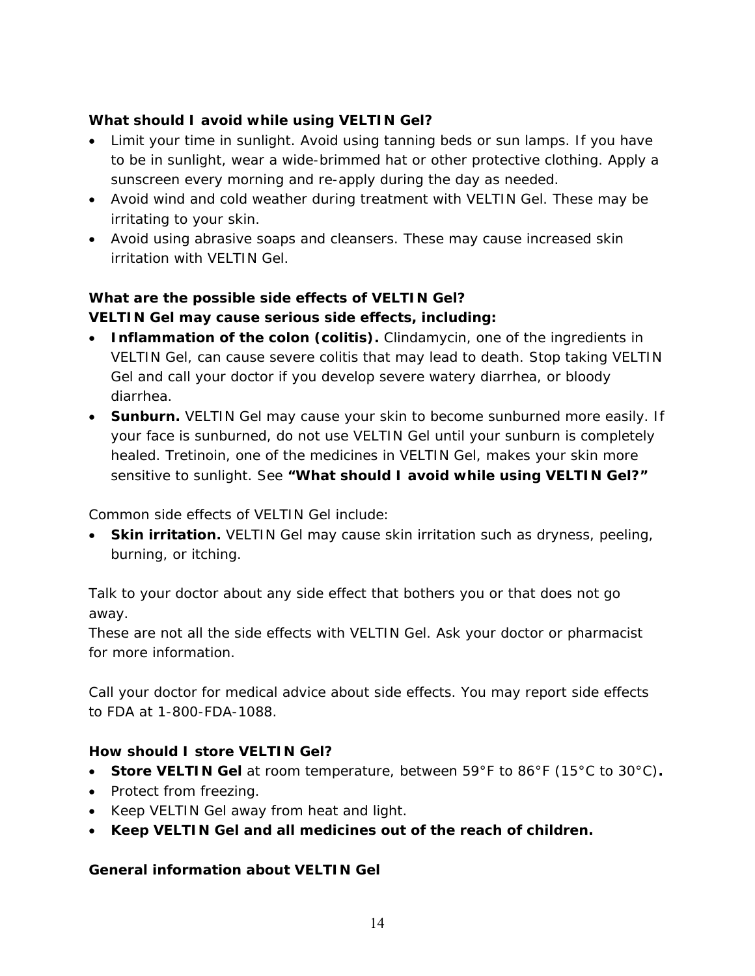# **What should I avoid while using VELTIN Gel?**

- Limit your time in sunlight. Avoid using tanning beds or sun lamps. If you have to be in sunlight, wear a wide-brimmed hat or other protective clothing. Apply a sunscreen every morning and re-apply during the day as needed.
- Avoid wind and cold weather during treatment with VELTIN Gel. These may be irritating to your skin.
- Avoid using abrasive soaps and cleansers. These may cause increased skin irritation with VELTIN Gel.

# **What are the possible side effects of VELTIN Gel? VELTIN Gel may cause serious side effects, including:**

- **Inflammation of the colon (colitis).** Clindamycin, one of the ingredients in VELTIN Gel, can cause severe colitis that may lead to death. Stop taking VELTIN Gel and call your doctor if you develop severe watery diarrhea, or bloody diarrhea.
- healed. Tretinoin, one of the medicines in VELTIN Gel, makes your skin more **Sunburn.** VELTIN Gel may cause your skin to become sunburned more easily. If your face is sunburned, do not use VELTIN Gel until your sunburn is completely sensitive to sunlight. See **"What should I avoid while using VELTIN Gel?"**

Common side effects of VELTIN Gel include:

 **Skin irritation.** VELTIN Gel may cause skin irritation such as dryness, peeling, burning, or itching.

Talk to your doctor about any side effect that bothers you or that does not go away.

These are not all the side effects with VELTIN Gel. Ask your doctor or pharmacist for more information.

Call your doctor for medical advice about side effects. You may report side effects to FDA at 1-800-FDA-1088.

# **How should I store VELTIN Gel?**

- **Store VELTIN Gel** at room temperature, between 59°F to 86°F (15°C to 30°C)**.**
- Protect from freezing.
- Keep VELTIN Gel away from heat and light.
- **Keep VELTIN Gel and all medicines out of the reach of children.**

# **General information about VELTIN Gel**